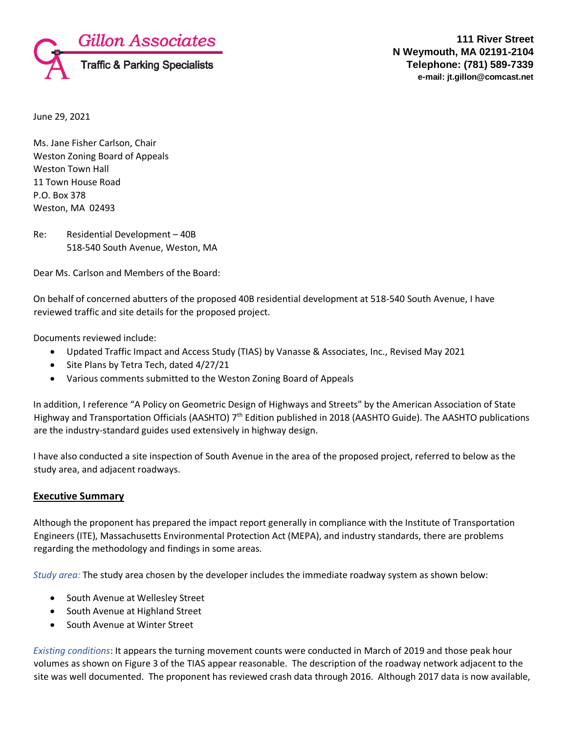

June 29, 2021

Ms. Jane Fisher Carlson, Chair Weston Zoning Board of Appeals Weston Town Hall 11 Town House Road P.O. Box 378 Weston, MA 02493

Re: Residential Development – 40B 518-540 South Avenue, Weston, MA

Dear Ms. Carlson and Members of the Board:

On behalf of concerned abutters of the proposed 40B residential development at 518-540 South Avenue, I have reviewed traffic and site details for the proposed project.

Documents reviewed include:

- Updated Traffic Impact and Access Study (TIAS) by Vanasse & Associates, Inc., Revised May 2021
- Site Plans by Tetra Tech, dated 4/27/21
- Various comments submitted to the Weston Zoning Board of Appeals

In addition, I reference "A Policy on Geometric Design of Highways and Streets" by the American Association of State Highway and Transportation Officials (AASHTO) 7<sup>th</sup> Edition published in 2018 (AASHTO Guide). The AASHTO publications are the industry-standard guides used extensively in highway design.

I have also conducted a site inspection of South Avenue in the area of the proposed project, referred to below as the study area, and adjacent roadways.

#### **Executive Summary**

Although the proponent has prepared the impact report generally in compliance with the Institute of Transportation Engineers (ITE), Massachusetts Environmental Protection Act (MEPA), and industry standards, there are problems regarding the methodology and findings in some areas.

*Study area:* The study area chosen by the developer includes the immediate roadway system as shown below:

- South Avenue at Wellesley Street
- South Avenue at Highland Street
- South Avenue at Winter Street

*Existing conditions*: It appears the turning movement counts were conducted in March of 2019 and those peak hour volumes as shown on Figure 3 of the TIAS appear reasonable. The description of the roadway network adjacent to the site was well documented. The proponent has reviewed crash data through 2016. Although 2017 data is now available,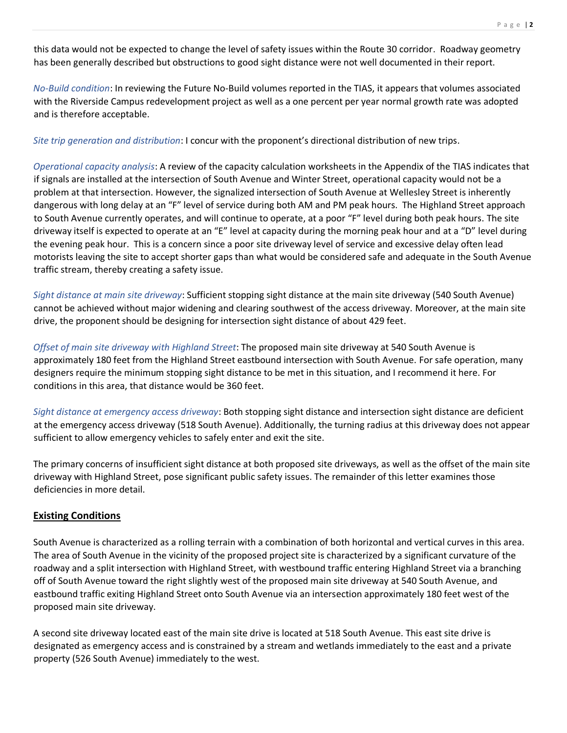this data would not be expected to change the level of safety issues within the Route 30 corridor. Roadway geometry has been generally described but obstructions to good sight distance were not well documented in their report.

*No-Build condition*: In reviewing the Future No-Build volumes reported in the TIAS, it appears that volumes associated with the Riverside Campus redevelopment project as well as a one percent per year normal growth rate was adopted and is therefore acceptable.

*Site trip generation and distribution*: I concur with the proponent's directional distribution of new trips.

*Operational capacity analysis*: A review of the capacity calculation worksheets in the Appendix of the TIAS indicates that if signals are installed at the intersection of South Avenue and Winter Street, operational capacity would not be a problem at that intersection. However, the signalized intersection of South Avenue at Wellesley Street is inherently dangerous with long delay at an "F" level of service during both AM and PM peak hours. The Highland Street approach to South Avenue currently operates, and will continue to operate, at a poor "F" level during both peak hours. The site driveway itself is expected to operate at an "E" level at capacity during the morning peak hour and at a "D" level during the evening peak hour. This is a concern since a poor site driveway level of service and excessive delay often lead motorists leaving the site to accept shorter gaps than what would be considered safe and adequate in the South Avenue traffic stream, thereby creating a safety issue.

*Sight distance at main site driveway*: Sufficient stopping sight distance at the main site driveway (540 South Avenue) cannot be achieved without major widening and clearing southwest of the access driveway. Moreover, at the main site drive, the proponent should be designing for intersection sight distance of about 429 feet.

*Offset of main site driveway with Highland Street*: The proposed main site driveway at 540 South Avenue is approximately 180 feet from the Highland Street eastbound intersection with South Avenue. For safe operation, many designers require the minimum stopping sight distance to be met in this situation, and I recommend it here. For conditions in this area, that distance would be 360 feet.

*Sight distance at emergency access driveway*: Both stopping sight distance and intersection sight distance are deficient at the emergency access driveway (518 South Avenue). Additionally, the turning radius at this driveway does not appear sufficient to allow emergency vehicles to safely enter and exit the site.

The primary concerns of insufficient sight distance at both proposed site driveways, as well as the offset of the main site driveway with Highland Street, pose significant public safety issues. The remainder of this letter examines those deficiencies in more detail.

#### **Existing Conditions**

South Avenue is characterized as a rolling terrain with a combination of both horizontal and vertical curves in this area. The area of South Avenue in the vicinity of the proposed project site is characterized by a significant curvature of the roadway and a split intersection with Highland Street, with westbound traffic entering Highland Street via a branching off of South Avenue toward the right slightly west of the proposed main site driveway at 540 South Avenue, and eastbound traffic exiting Highland Street onto South Avenue via an intersection approximately 180 feet west of the proposed main site driveway.

A second site driveway located east of the main site drive is located at 518 South Avenue. This east site drive is designated as emergency access and is constrained by a stream and wetlands immediately to the east and a private property (526 South Avenue) immediately to the west.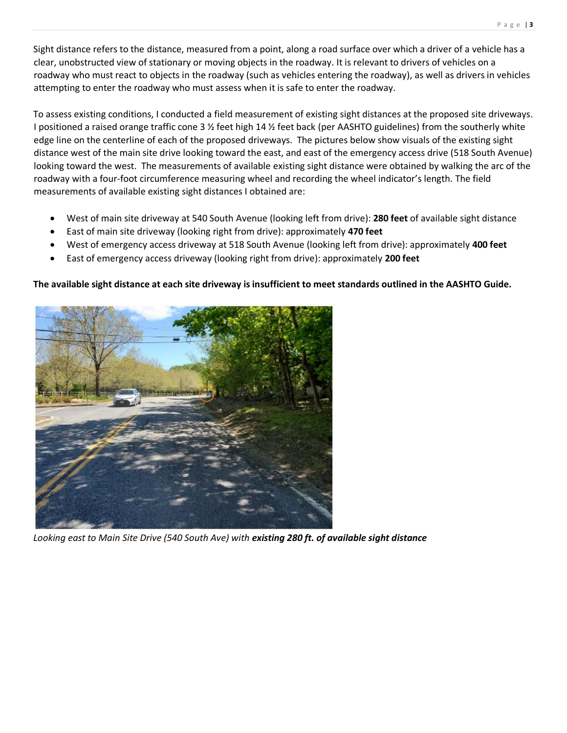Sight distance refers to the distance, measured from a point, along a road surface over which a driver of a vehicle has a clear, unobstructed view of stationary or moving objects in the roadway. It is relevant to drivers of vehicles on a roadway who must react to objects in the roadway (such as vehicles entering the roadway), as well as drivers in vehicles attempting to enter the roadway who must assess when it is safe to enter the roadway.

To assess existing conditions, I conducted a field measurement of existing sight distances at the proposed site driveways. I positioned a raised orange traffic cone 3  $\frac{1}{2}$  feet high 14  $\frac{1}{2}$  feet back (per AASHTO guidelines) from the southerly white edge line on the centerline of each of the proposed driveways. The pictures below show visuals of the existing sight distance west of the main site drive looking toward the east, and east of the emergency access drive (518 South Avenue) looking toward the west. The measurements of available existing sight distance were obtained by walking the arc of the roadway with a four-foot circumference measuring wheel and recording the wheel indicator's length. The field measurements of available existing sight distances I obtained are:

- West of main site driveway at 540 South Avenue (looking left from drive): **280 feet** of available sight distance
- East of main site driveway (looking right from drive): approximately **470 feet**
- West of emergency access driveway at 518 South Avenue (looking left from drive): approximately **400 feet**
- East of emergency access driveway (looking right from drive): approximately **200 feet**

# **The available sight distance at each site driveway is insufficient to meet standards outlined in the AASHTO Guide.**



*Looking east to Main Site Drive (540 South Ave) with existing 280 ft. of available sight distance*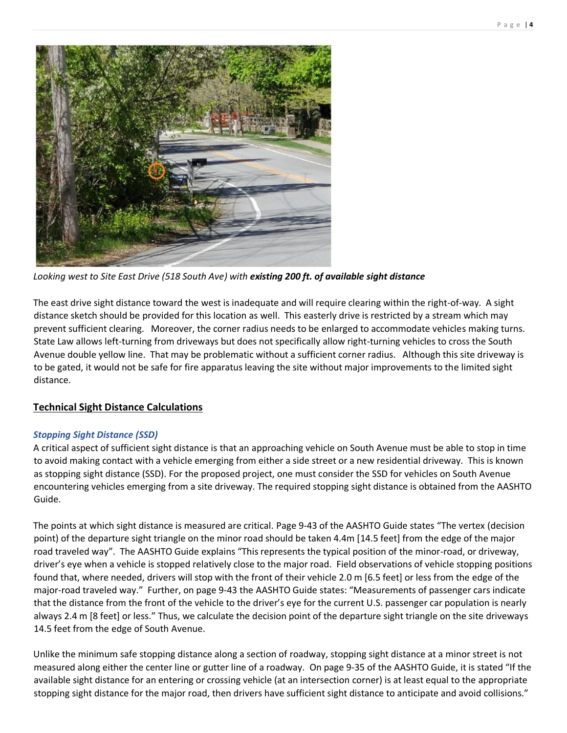

*Looking west to Site East Drive (518 South Ave) with existing 200 ft. of available sight distance*

The east drive sight distance toward the west is inadequate and will require clearing within the right-of-way. A sight distance sketch should be provided for this location as well. This easterly drive is restricted by a stream which may prevent sufficient clearing. Moreover, the corner radius needs to be enlarged to accommodate vehicles making turns. State Law allows left-turning from driveways but does not specifically allow right-turning vehicles to cross the South Avenue double yellow line. That may be problematic without a sufficient corner radius. Although this site driveway is to be gated, it would not be safe for fire apparatus leaving the site without major improvements to the limited sight distance.

## **Technical Sight Distance Calculations**

## *Stopping Sight Distance (SSD)*

A critical aspect of sufficient sight distance is that an approaching vehicle on South Avenue must be able to stop in time to avoid making contact with a vehicle emerging from either a side street or a new residential driveway. This is known as stopping sight distance (SSD). For the proposed project, one must consider the SSD for vehicles on South Avenue encountering vehicles emerging from a site driveway. The required stopping sight distance is obtained from the AASHTO Guide.

The points at which sight distance is measured are critical. Page 9-43 of the AASHTO Guide states "The vertex (decision point) of the departure sight triangle on the minor road should be taken 4.4m [14.5 feet] from the edge of the major road traveled way". The AASHTO Guide explains "This represents the typical position of the minor-road, or driveway, driver's eye when a vehicle is stopped relatively close to the major road. Field observations of vehicle stopping positions found that, where needed, drivers will stop with the front of their vehicle 2.0 m [6.5 feet] or less from the edge of the major-road traveled way." Further, on page 9-43 the AASHTO Guide states: "Measurements of passenger cars indicate that the distance from the front of the vehicle to the driver's eye for the current U.S. passenger car population is nearly always 2.4 m [8 feet] or less." Thus, we calculate the decision point of the departure sight triangle on the site driveways 14.5 feet from the edge of South Avenue.

Unlike the minimum safe stopping distance along a section of roadway, stopping sight distance at a minor street is not measured along either the center line or gutter line of a roadway. On page 9-35 of the AASHTO Guide, it is stated "If the available sight distance for an entering or crossing vehicle (at an intersection corner) is at least equal to the appropriate stopping sight distance for the major road, then drivers have sufficient sight distance to anticipate and avoid collisions."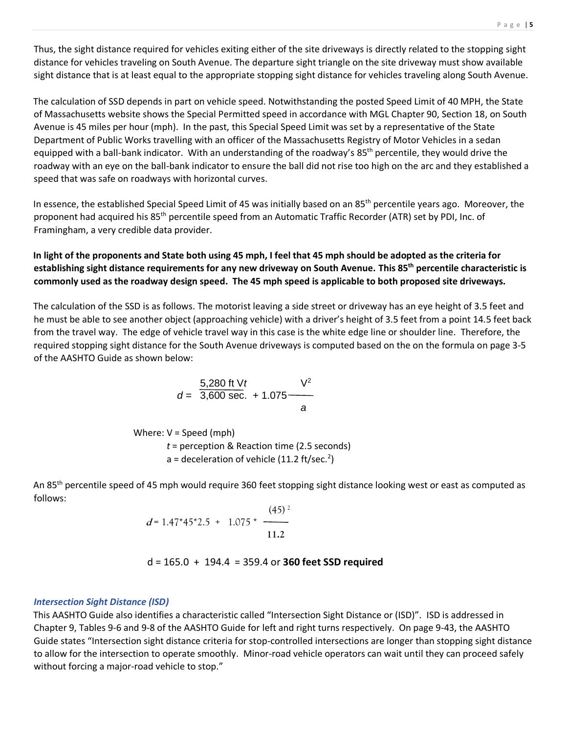Thus, the sight distance required for vehicles exiting either of the site driveways is directly related to the stopping sight distance for vehicles traveling on South Avenue. The departure sight triangle on the site driveway must show available sight distance that is at least equal to the appropriate stopping sight distance for vehicles traveling along South Avenue.

The calculation of SSD depends in part on vehicle speed. Notwithstanding the posted Speed Limit of 40 MPH, the State of Massachusetts website shows the Special Permitted speed in accordance with MGL Chapter 90, Section 18, on South Avenue is 45 miles per hour (mph). In the past, this Special Speed Limit was set by a representative of the State Department of Public Works travelling with an officer of the Massachusetts Registry of Motor Vehicles in a sedan equipped with a ball-bank indicator. With an understanding of the roadway's 85<sup>th</sup> percentile, they would drive the roadway with an eye on the ball-bank indicator to ensure the ball did not rise too high on the arc and they established a speed that was safe on roadways with horizontal curves.

In essence, the established Special Speed Limit of 45 was initially based on an 85<sup>th</sup> percentile years ago. Moreover, the proponent had acquired his 85th percentile speed from an Automatic Traffic Recorder (ATR) set by PDI, Inc. of Framingham, a very credible data provider.

**In light of the proponents and State both using 45 mph, I feel that 45 mph should be adopted as the criteria for establishing sight distance requirements for any new driveway on South Avenue. This 85th percentile characteristic is commonly used as the roadway design speed. The 45 mph speed is applicable to both proposed site driveways.**

The calculation of the SSD is as follows. The motorist leaving a side street or driveway has an eye height of 3.5 feet and he must be able to see another object (approaching vehicle) with a driver's height of 3.5 feet from a point 14.5 feet back from the travel way. The edge of vehicle travel way in this case is the white edge line or shoulder line. Therefore, the required stopping sight distance for the South Avenue driveways is computed based on the on the formula on page 3-5 of the AASHTO Guide as shown below:

$$
d = \frac{5,280 \text{ ft } \text{V}t}{3,600 \text{ sec.}} + 1.075 \frac{\text{V}^2}{a}
$$

Where: V = Speed (mph)

*t* = perception & Reaction time (2.5 seconds) a = deceleration of vehicle (11.2 ft/sec.<sup>2</sup>)

An 85<sup>th</sup> percentile speed of 45 mph would require 360 feet stopping sight distance looking west or east as computed as follows:

$$
d = 1.47*45*2.5 + 1.075* \frac{(45)^2}{11.2}
$$

## d = 165.0 + 194.4 = 359.4 or **360 feet SSD required**

#### *Intersection Sight Distance (ISD)*

This AASHTO Guide also identifies a characteristic called "Intersection Sight Distance or (ISD)". ISD is addressed in Chapter 9, Tables 9-6 and 9-8 of the AASHTO Guide for left and right turns respectively. On page 9-43, the AASHTO Guide states "Intersection sight distance criteria for stop-controlled intersections are longer than stopping sight distance to allow for the intersection to operate smoothly. Minor-road vehicle operators can wait until they can proceed safely without forcing a major-road vehicle to stop."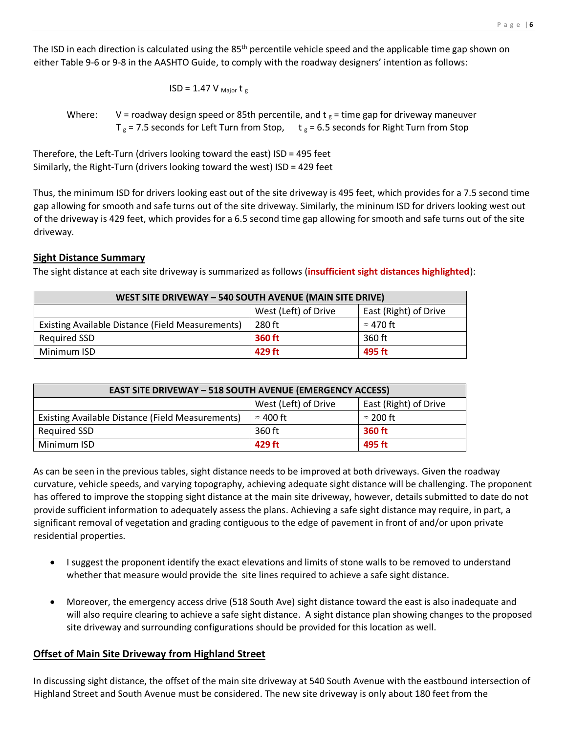The ISD in each direction is calculated using the 85<sup>th</sup> percentile vehicle speed and the applicable time gap shown on either Table 9-6 or 9-8 in the AASHTO Guide, to comply with the roadway designers' intention as follows:

$$
ISD = 1.47 V_{\text{Major}} t_{g}
$$

Where: V = roadway design speed or 85th percentile, and t  $_{\rm g}$  = time gap for driveway maneuver  $T_g$  = 7.5 seconds for Left Turn from Stop,  $t_g$  = 6.5 seconds for Right Turn from Stop

Therefore, the Left-Turn (drivers looking toward the east) ISD = 495 feet Similarly, the Right-Turn (drivers looking toward the west) ISD = 429 feet

Thus, the minimum ISD for drivers looking east out of the site driveway is 495 feet, which provides for a 7.5 second time gap allowing for smooth and safe turns out of the site driveway. Similarly, the mininum ISD for drivers looking west out of the driveway is 429 feet, which provides for a 6.5 second time gap allowing for smooth and safe turns out of the site driveway.

# **Sight Distance Summary**

The sight distance at each site driveway is summarized as follows (**insufficient sight distances highlighted**):

| WEST SITE DRIVEWAY - 540 SOUTH AVENUE (MAIN SITE DRIVE) |                      |                       |  |
|---------------------------------------------------------|----------------------|-----------------------|--|
|                                                         | West (Left) of Drive | East (Right) of Drive |  |
| Existing Available Distance (Field Measurements)        | 280 ft               | $\approx$ 470 ft      |  |
| Required SSD                                            | <b>360 ft</b>        | 360 ft                |  |
| Minimum ISD                                             | 429 ft               | 495 ft                |  |

| <b>EAST SITE DRIVEWAY - 518 SOUTH AVENUE (EMERGENCY ACCESS)</b> |                      |                       |  |
|-----------------------------------------------------------------|----------------------|-----------------------|--|
|                                                                 | West (Left) of Drive | East (Right) of Drive |  |
| Existing Available Distance (Field Measurements)                | $\approx$ 400 ft     | $\approx$ 200 ft      |  |
| Required SSD                                                    | 360 ft               | 360 ft                |  |
| Minimum ISD                                                     | 429 ft               | 495 ft                |  |

As can be seen in the previous tables, sight distance needs to be improved at both driveways. Given the roadway curvature, vehicle speeds, and varying topography, achieving adequate sight distance will be challenging. The proponent has offered to improve the stopping sight distance at the main site driveway, however, details submitted to date do not provide sufficient information to adequately assess the plans. Achieving a safe sight distance may require, in part, a significant removal of vegetation and grading contiguous to the edge of pavement in front of and/or upon private residential properties.

- I suggest the proponent identify the exact elevations and limits of stone walls to be removed to understand whether that measure would provide the site lines required to achieve a safe sight distance.
- Moreover, the emergency access drive (518 South Ave) sight distance toward the east is also inadequate and will also require clearing to achieve a safe sight distance. A sight distance plan showing changes to the proposed site driveway and surrounding configurations should be provided for this location as well.

# **Offset of Main Site Driveway from Highland Street**

In discussing sight distance, the offset of the main site driveway at 540 South Avenue with the eastbound intersection of Highland Street and South Avenue must be considered. The new site driveway is only about 180 feet from the